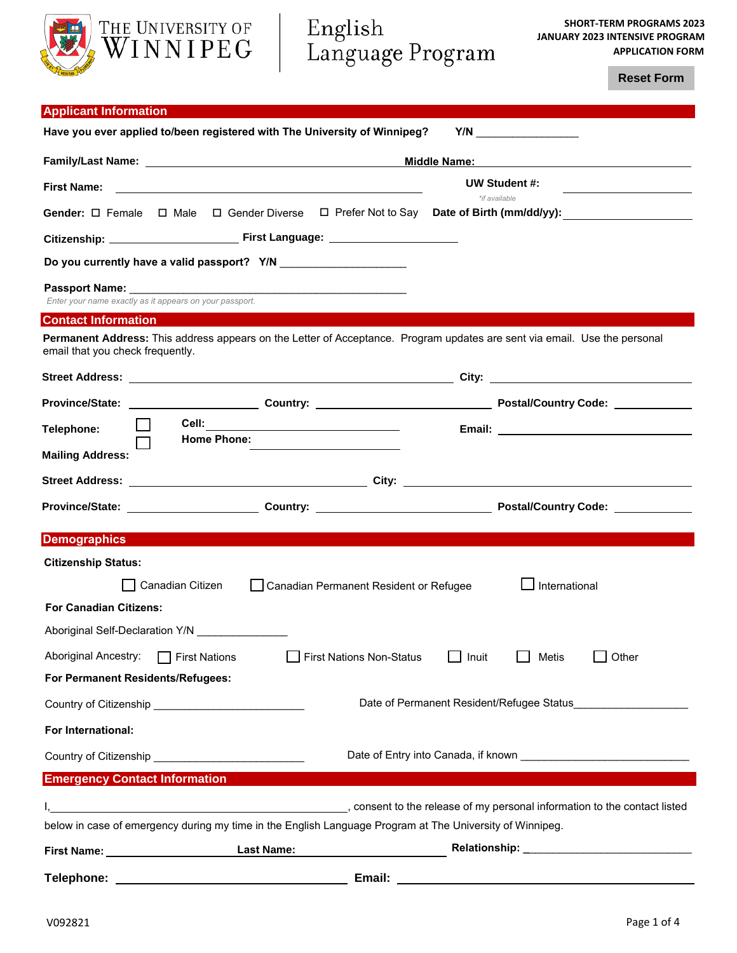

**Reset Form**

| <b>Applicant Information</b>                                                                                                                                                                                                                               |                                                                                                                                                                                                                                |  |  |  |
|------------------------------------------------------------------------------------------------------------------------------------------------------------------------------------------------------------------------------------------------------------|--------------------------------------------------------------------------------------------------------------------------------------------------------------------------------------------------------------------------------|--|--|--|
| Have you ever applied to/been registered with The University of Winnipeg?                                                                                                                                                                                  |                                                                                                                                                                                                                                |  |  |  |
|                                                                                                                                                                                                                                                            | Middle Name: Middle Name:                                                                                                                                                                                                      |  |  |  |
| <b>First Name:</b><br><u>state and the state of the state of the state of the state of the state of the state of the state of the state of the state of the state of the state of the state of the state of the state of the state of the state of the</u> | UW Student #:                                                                                                                                                                                                                  |  |  |  |
| Gender: $\Box$ Female $\Box$ Male $\Box$ Gender Diverse $\Box$ Prefer Not to Say Date of Birth (mm/dd/yy):                                                                                                                                                 | *if available                                                                                                                                                                                                                  |  |  |  |
|                                                                                                                                                                                                                                                            |                                                                                                                                                                                                                                |  |  |  |
| Do you currently have a valid passport? Y/N ________________________                                                                                                                                                                                       |                                                                                                                                                                                                                                |  |  |  |
| Enter your name exactly as it appears on your passport.                                                                                                                                                                                                    |                                                                                                                                                                                                                                |  |  |  |
| <b>Contact Information</b>                                                                                                                                                                                                                                 |                                                                                                                                                                                                                                |  |  |  |
| Permanent Address: This address appears on the Letter of Acceptance. Program updates are sent via email. Use the personal<br>email that you check frequently.                                                                                              |                                                                                                                                                                                                                                |  |  |  |
|                                                                                                                                                                                                                                                            |                                                                                                                                                                                                                                |  |  |  |
|                                                                                                                                                                                                                                                            |                                                                                                                                                                                                                                |  |  |  |
| Telephone:                                                                                                                                                                                                                                                 |                                                                                                                                                                                                                                |  |  |  |
| <b>Home Phone:</b>                                                                                                                                                                                                                                         |                                                                                                                                                                                                                                |  |  |  |
| <b>Mailing Address:</b>                                                                                                                                                                                                                                    |                                                                                                                                                                                                                                |  |  |  |
|                                                                                                                                                                                                                                                            |                                                                                                                                                                                                                                |  |  |  |
|                                                                                                                                                                                                                                                            |                                                                                                                                                                                                                                |  |  |  |
| <b>Demographics</b>                                                                                                                                                                                                                                        |                                                                                                                                                                                                                                |  |  |  |
| <b>Citizenship Status:</b>                                                                                                                                                                                                                                 |                                                                                                                                                                                                                                |  |  |  |
| Canadian Citizen<br>Canadian Permanent Resident or Refugee                                                                                                                                                                                                 | International                                                                                                                                                                                                                  |  |  |  |
| <b>For Canadian Citizens:</b>                                                                                                                                                                                                                              |                                                                                                                                                                                                                                |  |  |  |
| Aboriginal Self-Declaration Y/N                                                                                                                                                                                                                            |                                                                                                                                                                                                                                |  |  |  |
| <b>Aboriginal Ancestry:</b><br><b>First Nations Non-Status</b><br>$\Box$ First Nations                                                                                                                                                                     | Other<br>Inuit<br>Metis                                                                                                                                                                                                        |  |  |  |
| For Permanent Residents/Refugees:                                                                                                                                                                                                                          |                                                                                                                                                                                                                                |  |  |  |
| Country of Citizenship _________________________________                                                                                                                                                                                                   | Date of Permanent Resident/Refugee Status                                                                                                                                                                                      |  |  |  |
| For International:                                                                                                                                                                                                                                         |                                                                                                                                                                                                                                |  |  |  |
|                                                                                                                                                                                                                                                            |                                                                                                                                                                                                                                |  |  |  |
| <b>Emergency Contact Information</b>                                                                                                                                                                                                                       |                                                                                                                                                                                                                                |  |  |  |
|                                                                                                                                                                                                                                                            | consent to the release of my personal information to the contact listed, والمستخدم المستخدم المستخدم المستخدم المستخدم المستخدم المستخدم المستخدم المستخدم المستخدم المستخدم المستخدم المستخدم المستخدم المستخدم المستخدم المس |  |  |  |
| below in case of emergency during my time in the English Language Program at The University of Winnipeg.                                                                                                                                                   |                                                                                                                                                                                                                                |  |  |  |
| <b>Last Name:</b>                                                                                                                                                                                                                                          |                                                                                                                                                                                                                                |  |  |  |

**Telephone: Email:**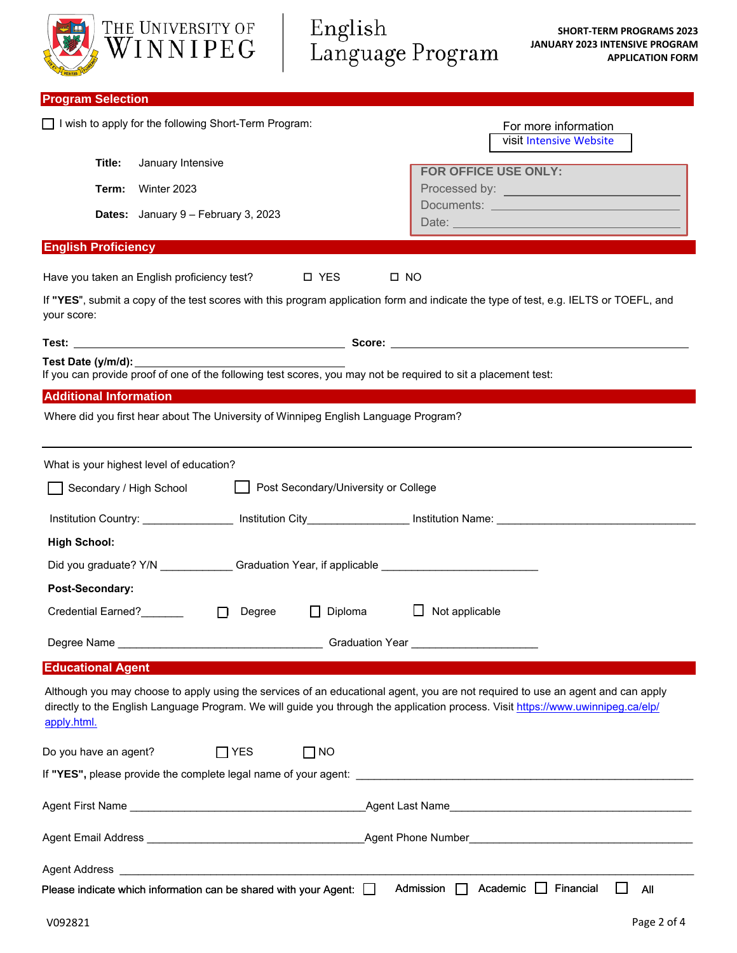|                                             | THE UNIVERSITY OF<br>WINNIPEG                                                                                  | English<br>Language Program          |                                            | <b>SHORT-TERM PROGRAMS 2023</b><br><b>JANUARY 2023 INTENSIVE PROGRAM</b><br><b>APPLICATION FORM</b>                                                                                                                                                                 |
|---------------------------------------------|----------------------------------------------------------------------------------------------------------------|--------------------------------------|--------------------------------------------|---------------------------------------------------------------------------------------------------------------------------------------------------------------------------------------------------------------------------------------------------------------------|
| <b>Program Selection</b>                    |                                                                                                                |                                      |                                            |                                                                                                                                                                                                                                                                     |
|                                             | I wish to apply for the following Short-Term Program:                                                          |                                      |                                            | For more information<br><b>Visit Intensive Website</b>                                                                                                                                                                                                              |
| Title:<br>Term:                             | January Intensive<br>Winter 2023                                                                               |                                      | <b>FOR OFFICE USE ONLY:</b>                |                                                                                                                                                                                                                                                                     |
|                                             | Dates: January 9 - February 3, 2023                                                                            |                                      |                                            |                                                                                                                                                                                                                                                                     |
| <b>English Proficiency</b>                  |                                                                                                                |                                      |                                            |                                                                                                                                                                                                                                                                     |
| Have you taken an English proficiency test? |                                                                                                                | □ YES<br>$\square$ NO                |                                            |                                                                                                                                                                                                                                                                     |
| your score:                                 |                                                                                                                |                                      |                                            | If "YES", submit a copy of the test scores with this program application form and indicate the type of test, e.g. IELTS or TOEFL, and                                                                                                                               |
|                                             |                                                                                                                |                                      |                                            |                                                                                                                                                                                                                                                                     |
| Test Date (y/m/d): __________               | If you can provide proof of one of the following test scores, you may not be required to sit a placement test: |                                      |                                            |                                                                                                                                                                                                                                                                     |
| <b>Additional Information</b>               |                                                                                                                |                                      |                                            |                                                                                                                                                                                                                                                                     |
|                                             | Where did you first hear about The University of Winnipeg English Language Program?                            |                                      |                                            |                                                                                                                                                                                                                                                                     |
| What is your highest level of education?    |                                                                                                                |                                      |                                            |                                                                                                                                                                                                                                                                     |
| Secondary / High School                     |                                                                                                                | Post Secondary/University or College |                                            |                                                                                                                                                                                                                                                                     |
|                                             | Institution Country: _________________ Institution City___________________ Institution Name: ____________      |                                      |                                            |                                                                                                                                                                                                                                                                     |
| <b>High School:</b>                         |                                                                                                                |                                      |                                            |                                                                                                                                                                                                                                                                     |
|                                             | Did you graduate? Y/N ______________Graduation Year, if applicable ________________________________            |                                      |                                            |                                                                                                                                                                                                                                                                     |
| Post-Secondary:                             |                                                                                                                |                                      |                                            |                                                                                                                                                                                                                                                                     |
| Credential Earned?_______                   | Degree<br>$\Box$                                                                                               | Diploma<br>$\Box$                    | Not applicable                             |                                                                                                                                                                                                                                                                     |
|                                             |                                                                                                                |                                      |                                            |                                                                                                                                                                                                                                                                     |
| <b>Educational Agent</b>                    |                                                                                                                |                                      |                                            |                                                                                                                                                                                                                                                                     |
| apply.html.                                 |                                                                                                                |                                      |                                            | Although you may choose to apply using the services of an educational agent, you are not required to use an agent and can apply<br>directly to the English Language Program. We will guide you through the application process. Visit https://www.uwinnipeg.ca/elp/ |
| Do you have an agent?                       | $\Box$ YES                                                                                                     | $\Box$ NO                            |                                            |                                                                                                                                                                                                                                                                     |
|                                             |                                                                                                                |                                      |                                            |                                                                                                                                                                                                                                                                     |
|                                             |                                                                                                                |                                      |                                            |                                                                                                                                                                                                                                                                     |
|                                             |                                                                                                                |                                      |                                            |                                                                                                                                                                                                                                                                     |
|                                             |                                                                                                                |                                      |                                            |                                                                                                                                                                                                                                                                     |
|                                             | Please indicate which information can be shared with your Agent: $\Box$                                        |                                      | Admission $\Box$ Academic $\Box$ Financial | All                                                                                                                                                                                                                                                                 |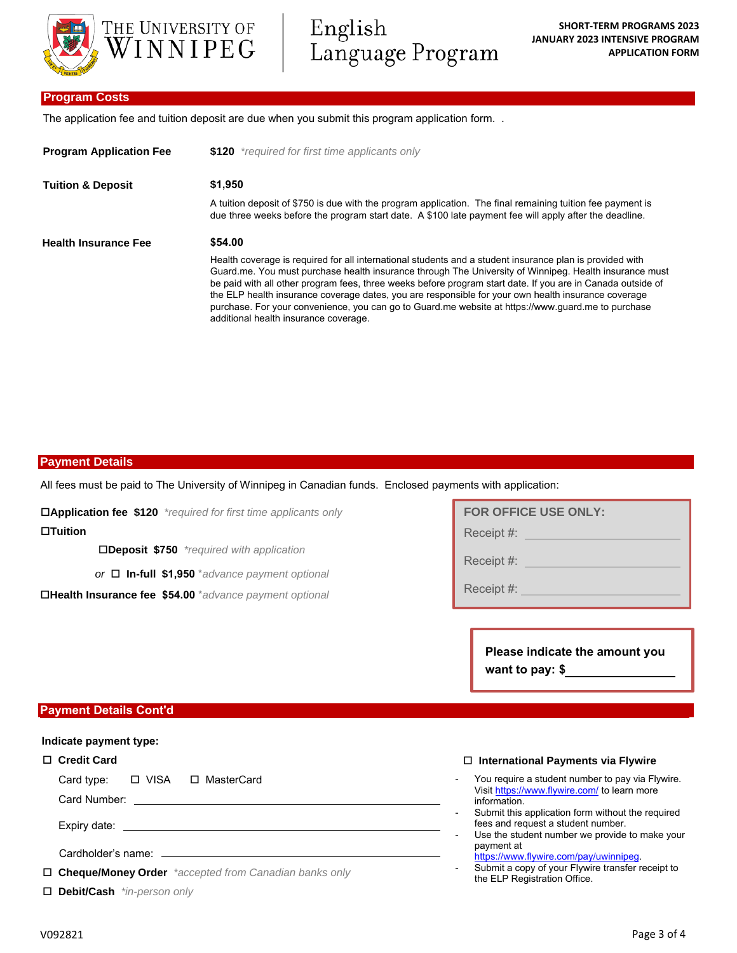

English Language Program

# **Program Costs**

The application fee and tuition deposit are due when you submit this program application form. .

| <b>Program Application Fee</b> | \$120 *required for first time applicants only                                                                                                                                                                                                                                                                                                                                                                                                                                                                                                                                          |  |  |
|--------------------------------|-----------------------------------------------------------------------------------------------------------------------------------------------------------------------------------------------------------------------------------------------------------------------------------------------------------------------------------------------------------------------------------------------------------------------------------------------------------------------------------------------------------------------------------------------------------------------------------------|--|--|
| <b>Tuition &amp; Deposit</b>   | \$1.950                                                                                                                                                                                                                                                                                                                                                                                                                                                                                                                                                                                 |  |  |
|                                | A tuition deposit of \$750 is due with the program application. The final remaining tuition fee payment is<br>due three weeks before the program start date. A \$100 late payment fee will apply after the deadline.                                                                                                                                                                                                                                                                                                                                                                    |  |  |
| <b>Health Insurance Fee</b>    | \$54.00                                                                                                                                                                                                                                                                                                                                                                                                                                                                                                                                                                                 |  |  |
|                                | Health coverage is required for all international students and a student insurance plan is provided with<br>Guard me. You must purchase health insurance through The University of Winnipeg. Health insurance must<br>be paid with all other program fees, three weeks before program start date. If you are in Canada outside of<br>the ELP health insurance coverage dates, you are responsible for your own health insurance coverage<br>purchase. For your convenience, you can go to Guard.me website at https://www.guard.me to purchase<br>additional health insurance coverage. |  |  |

#### **Payment Details**

All fees must be paid to The University of Winnipeg in Canadian funds. Enclosed payments with application:

**Application fee \$120** *\*required for first time applicants only*

**Tuition**

**Deposit \$750** *\*required with application*

*or* **In-full \$1,950** \**advance payment optional*

**Health Insurance fee \$54.00** \**advance payment optional*

| <b>FOR OFFICE USE ONLY:</b> |  |  |
|-----------------------------|--|--|
| Receipt #:                  |  |  |
| Receipt #:                  |  |  |

Receipt #:

**Please indicate the amount you want to pay: \$**

# **Payment Details Cont'd**

#### **Indicate payment type:**

#### **Credit Card**

Card type: □ VISA □ MasterCard

Card Number:

Expiry date:

Cardholder's name:

**Cheque/Money Order** *\*accepted from Canadian banks only* 

**Debit/Cash** *\*in-person only*

#### **International Payments via Flywire**

- You require a student number to pay via Flywire. Visit https://www.flywire.com/ to learn more information.
- Submit this application form without the required fees and request a student number.
- Use the student number we provide to make your payment at
- https://www.flywire.com/pay/uwinnipeg.
- Submit a copy of your Flywire transfer receipt to the ELP Registration Office.